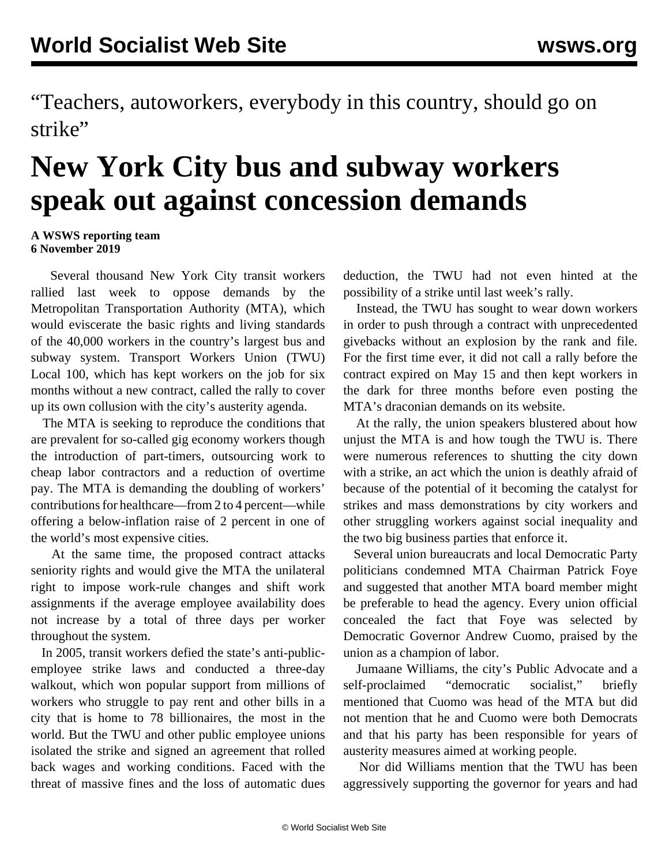"Teachers, autoworkers, everybody in this country, should go on strike"

## **New York City bus and subway workers speak out against concession demands**

## **A WSWS reporting team 6 November 2019**

 Several thousand New York City transit workers rallied last week to oppose demands by the Metropolitan Transportation Authority (MTA), which would eviscerate the basic rights and living standards of the 40,000 workers in the country's largest bus and subway system. Transport Workers Union (TWU) Local 100, which has kept workers on the job for six months without a new contract, called the rally to cover up its own collusion with the city's austerity agenda.

 The MTA is seeking to reproduce the conditions that are prevalent for so-called gig economy workers though the introduction of part-timers, outsourcing work to cheap labor contractors and a reduction of overtime pay. The MTA is demanding the doubling of workers' contributions for healthcare—from 2 to 4 percent—while offering a below-inflation raise of 2 percent in one of the world's most expensive cities.

 At the same time, the proposed contract attacks seniority rights and would give the MTA the unilateral right to impose work-rule changes and shift work assignments if the average employee availability does not increase by a total of three days per worker throughout the system.

 In 2005, transit workers defied the state's anti-publicemployee strike laws and conducted a three-day walkout, which won popular support from millions of workers who struggle to pay rent and other bills in a city that is home to 78 billionaires, the most in the world. But the TWU and other public employee unions isolated the strike and signed an agreement that rolled back wages and working conditions. Faced with the threat of massive fines and the loss of automatic dues deduction, the TWU had not even hinted at the possibility of a strike until last week's rally.

 Instead, the TWU has sought to wear down workers in order to push through a contract with unprecedented givebacks without an explosion by the rank and file. For the first time ever, it did not call a rally before the contract expired on May 15 and then kept workers in the dark for three months before even posting the MTA's draconian demands on its website.

 At the rally, the union speakers blustered about how unjust the MTA is and how tough the TWU is. There were numerous references to shutting the city down with a strike, an act which the union is deathly afraid of because of the potential of it becoming the catalyst for strikes and mass demonstrations by city workers and other struggling workers against social inequality and the two big business parties that enforce it.

 Several union bureaucrats and local Democratic Party politicians condemned MTA Chairman Patrick Foye and suggested that another MTA board member might be preferable to head the agency. Every union official concealed the fact that Foye was selected by Democratic Governor Andrew Cuomo, praised by the union as a champion of labor.

 Jumaane Williams, the city's Public Advocate and a self-proclaimed "democratic socialist," briefly mentioned that Cuomo was head of the MTA but did not mention that he and Cuomo were both Democrats and that his party has been responsible for years of austerity measures aimed at working people.

 Nor did Williams mention that the TWU has been aggressively supporting the governor for years and had